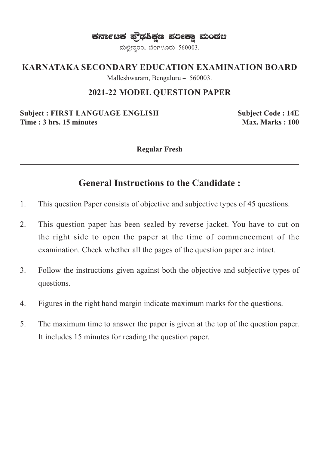ಕರ್ನಾಟಕ ಫ್ರೌಢಶಿಕ್ಷಣ ಪಲೀಕ್ಷಾ ಮಂಡಆ

ಮಲ್ಲೇಶ್ವರಂ, ಬೆಂಗಳೂರು-560003.

#### **KARNATAKA SECONDARY EDUCATION EXAMINATION BOARD**

Malleshwaram, Bengaluru - 560003.

#### **2021-22 MODEL QUESTION PAPER**

**Subject : FIRST LANGUAGE ENGLISH Subject Code : 14E Time : 3 hrs. 15 minutes**  Max. Marks : 100

**Regular Fresh**

### **General Instructions to the Candidate :**

- 1. This question Paper consists of objective and subjective types of 45 questions.
- 2. This question paper has been sealed by reverse jacket. You have to cut on the right side to open the paper at the time of commencement of the examination. Check whether all the pages of the question paper are intact.
- 3. Follow the instructions given against both the objective and subjective types of questions.
- 4. Figures in the right hand margin indicate maximum marks for the questions.
- 5. The maximum time to answer the paper is given at the top of the question paper. It includes 15 minutes for reading the question paper.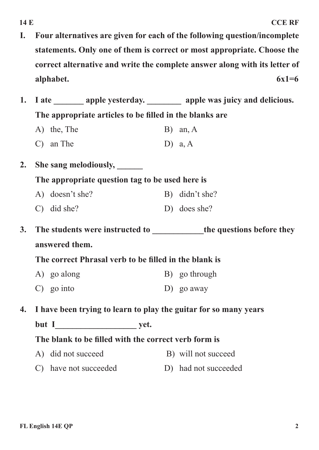**I. Four alternatives are given for each of the following question/incomplete statements. Only one of them is correct or most appropriate. Choose the correct alternative and write the complete answer along with its letter of alphabet. 6x1=6**

| The appropriate articles to be filled in the blanks are          |  |                                                                                                                                         |                                                                                                                                                    |  |  |  |
|------------------------------------------------------------------|--|-----------------------------------------------------------------------------------------------------------------------------------------|----------------------------------------------------------------------------------------------------------------------------------------------------|--|--|--|
|                                                                  |  |                                                                                                                                         | $B)$ an, A                                                                                                                                         |  |  |  |
| $C)$ an The                                                      |  |                                                                                                                                         | D) $a, A$                                                                                                                                          |  |  |  |
|                                                                  |  |                                                                                                                                         |                                                                                                                                                    |  |  |  |
| The appropriate question tag to be used here is                  |  |                                                                                                                                         |                                                                                                                                                    |  |  |  |
|                                                                  |  |                                                                                                                                         | B) didn't she?                                                                                                                                     |  |  |  |
|                                                                  |  |                                                                                                                                         | D) does she?                                                                                                                                       |  |  |  |
|                                                                  |  |                                                                                                                                         |                                                                                                                                                    |  |  |  |
| answered them.                                                   |  |                                                                                                                                         |                                                                                                                                                    |  |  |  |
| The correct Phrasal verb to be filled in the blank is            |  |                                                                                                                                         |                                                                                                                                                    |  |  |  |
|                                                                  |  |                                                                                                                                         | B) go through                                                                                                                                      |  |  |  |
| $\mathbf{C}$ ) go into                                           |  |                                                                                                                                         | $D)$ go away                                                                                                                                       |  |  |  |
| I have been trying to learn to play the guitar for so many years |  |                                                                                                                                         |                                                                                                                                                    |  |  |  |
| but I yet.                                                       |  |                                                                                                                                         |                                                                                                                                                    |  |  |  |
| The blank to be filled with the correct verb form is             |  |                                                                                                                                         |                                                                                                                                                    |  |  |  |
| A)                                                               |  |                                                                                                                                         | B) will not succeed                                                                                                                                |  |  |  |
| $\mathcal{C}$                                                    |  |                                                                                                                                         | D) had not succeeded                                                                                                                               |  |  |  |
|                                                                  |  | A) the, The<br>She sang melodiously, ______<br>A) doesn't she?<br>$C)$ did she?<br>A) go along<br>did not succeed<br>have not succeeded | I ate ________ apple yesterday. _________ apple was juicy and delicious.<br>The students were instructed to _____________the questions before they |  |  |  |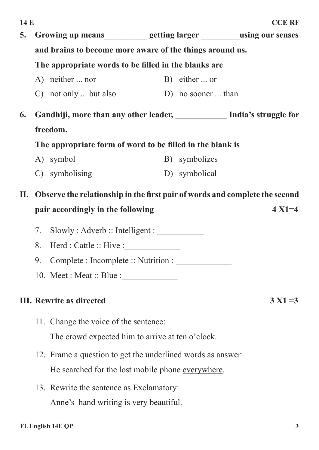| 14 E |                                                                             |                                                                         |                    | <b>CCE RF</b> |  |  |  |
|------|-----------------------------------------------------------------------------|-------------------------------------------------------------------------|--------------------|---------------|--|--|--|
| 5.   |                                                                             | Growing up means___________ getting larger _________using our senses    |                    |               |  |  |  |
|      | and brains to become more aware of the things around us.                    |                                                                         |                    |               |  |  |  |
|      | The appropriate words to be filled in the blanks are                        |                                                                         |                    |               |  |  |  |
|      |                                                                             | A) neither  nor                                                         | B) either  or      |               |  |  |  |
|      |                                                                             | $\mathcal{C}$ not only  but also                                        | D) no sooner  than |               |  |  |  |
| 6.   |                                                                             | Gandhiji, more than any other leader, ____________ India's struggle for |                    |               |  |  |  |
|      | freedom.                                                                    |                                                                         |                    |               |  |  |  |
|      | The appropriate form of word to be filled in the blank is                   |                                                                         |                    |               |  |  |  |
|      |                                                                             | A) symbol                                                               | B) symbolizes      |               |  |  |  |
|      |                                                                             | C) symbolising                                                          | D) symbolical      |               |  |  |  |
| П.   | Observe the relationship in the first pair of words and complete the second |                                                                         |                    |               |  |  |  |
|      | pair accordingly in the following<br>$4 X1 = 4$                             |                                                                         |                    |               |  |  |  |
|      | 7.                                                                          | Slowly: Adverb :: Intelligent :                                         |                    |               |  |  |  |
|      | 8.                                                                          | Herd : Cattle :: Hive :                                                 |                    |               |  |  |  |
|      | 9.                                                                          | Complete : Incomplete :: Nutrition :                                    |                    |               |  |  |  |
|      | 10. Meet : Meat :: Blue :                                                   |                                                                         |                    |               |  |  |  |
|      | <b>III.</b> Rewrite as directed<br>$3 X1 = 3$                               |                                                                         |                    |               |  |  |  |
|      |                                                                             | 11. Change the voice of the sentence:                                   |                    |               |  |  |  |
|      |                                                                             | The crowd expected him to arrive at ten o'clock.                        |                    |               |  |  |  |
|      |                                                                             | 12. Frame a question to get the underlined words as answer:             |                    |               |  |  |  |
|      | He searched for the lost mobile phone everywhere.                           |                                                                         |                    |               |  |  |  |
|      |                                                                             | 13. Rewrite the sentence as Exclamatory:                                |                    |               |  |  |  |

Anne's hand writing is very beautiful.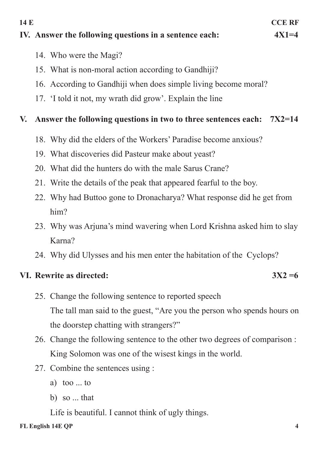#### **IV.** Answer the following questions in a sentence each:  $4X1=4$

- 14. Who were the Magi?
- 15. What is non-moral action according to Gandhiji?
- 16. According to Gandhiji when does simple living become moral?
- 17. 'I told it not, my wrath did grow'. Explain the line

#### **V. Answer the following questions in two to three sentences each: 7X2=14**

- 18. Why did the elders of the Workers' Paradise become anxious?
- 19. What discoveries did Pasteur make about yeast?
- 20. What did the hunters do with the male Sarus Crane?
- 21. Write the details of the peak that appeared fearful to the boy.
- 22. Why had Buttoo gone to Dronacharya? What response did he get from him?
- 23. Why was Arjuna's mind wavering when Lord Krishna asked him to slay Karna?
- 24. Why did Ulysses and his men enter the habitation of the Cyclops?

#### **VI. Rewrite as directed: 3X2 =6**

- 25. Change the following sentence to reported speech The tall man said to the guest, "Are you the person who spends hours on the doorstep chatting with strangers?"
- 26. Change the following sentence to the other two degrees of comparison : King Solomon was one of the wisest kings in the world.
- 27. Combine the sentences using :
	- a) too ... to
	- b) so ... that

Life is beautiful. I cannot think of ugly things.

# **14 E CCE RF**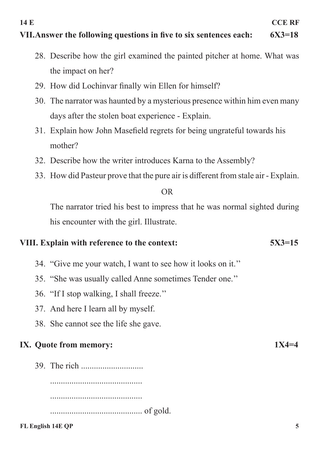### **VII. Answer the following questions in five to six sentences each: 6X3=18**

- **14 E CCE RF**
- -
	- 28. Describe how the girl examined the painted pitcher at home. What was the impact on her?
	- 29. How did Lochinvar finally win Ellen for himself?
	- 30. The narrator was haunted by a mysterious presence within him even many days after the stolen boat experience - Explain.
	- 31. Explain how John Masefield regrets for being ungrateful towards his mother?
	- 32. Describe how the writer introduces Karna to the Assembly?
	- 33. How did Pasteur prove that the pure air is different from stale air Explain.

#### OR

The narrator tried his best to impress that he was normal sighted during his encounter with the girl. Illustrate.

#### **VIII. Explain with reference to the context: 5X3=15**

- 34. "Give me your watch, I want to see how it looks on it.''
- 35. "She was usually called Anne sometimes Tender one.''
- 36. "If I stop walking, I shall freeze.''
- 37. And here I learn all by myself.
- 38. She cannot see the life she gave.

#### **IX. Quote from memory: 1X4=4**

39. The rich ............................. ........................................... ........................................... ........................................... of gold.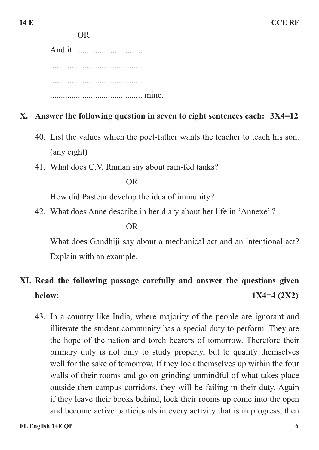OR

And it ................................ ........................................... ........................................... ........................................... mine.

### **X. Answer the following question in seven to eight sentences each: 3X4=12**

- 40. List the values which the poet-father wants the teacher to teach his son. (any eight)
- 41. What does C.V. Raman say about rain-fed tanks?

OR

How did Pasteur develop the idea of immunity?

42. What does Anne describe in her diary about her life in 'Annexe' ?

#### OR

What does Gandhiji say about a mechanical act and an intentional act? Explain with an example.

# **XI. Read the following passage carefully and answer the questions given below: 1X4=4 (2X2)**

43. In a country like India, where majority of the people are ignorant and illiterate the student community has a special duty to perform. They are the hope of the nation and torch bearers of tomorrow. Therefore their primary duty is not only to study properly, but to qualify themselves well for the sake of tomorrow. If they lock themselves up within the four walls of their rooms and go on grinding unmindful of what takes place outside then campus corridors, they will be failing in their duty. Again if they leave their books behind, lock their rooms up come into the open and become active participants in every activity that is in progress, then